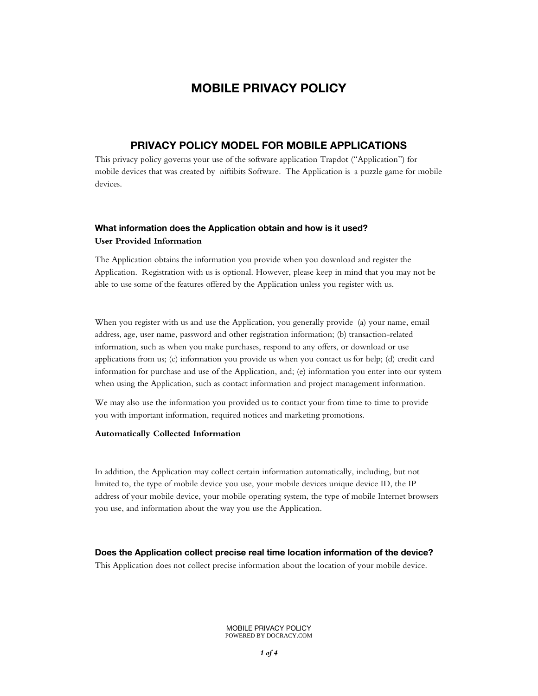# **MOBILE PRIVACY POLICY**

## **PRIVACY POLICY MODEL FOR MOBILE APPLICATIONS**

This privacy policy governs your use of the software application Trapdot ("Application") for mobile devices that was created by niftibits Software. The Application is a puzzle game for mobile devices.

## **What information does the Application obtain and how is it used? User Provided Information**

The Application obtains the information you provide when you download and register the Application. Registration with us is optional. However, please keep in mind that you may not be able to use some of the features offered by the Application unless you register with us.

When you register with us and use the Application, you generally provide (a) your name, email address, age, user name, password and other registration information; (b) transaction-related information, such as when you make purchases, respond to any offers, or download or use applications from us; (c) information you provide us when you contact us for help; (d) credit card information for purchase and use of the Application, and; (e) information you enter into our system when using the Application, such as contact information and project management information.

We may also use the information you provided us to contact your from time to time to provide you with important information, required notices and marketing promotions.

#### **Automatically Collected Information**

In addition, the Application may collect certain information automatically, including, but not limited to, the type of mobile device you use, your mobile devices unique device ID, the IP address of your mobile device, your mobile operating system, the type of mobile Internet browsers you use, and information about the way you use the Application.

**Does the Application collect precise real time location information of the device?**

This Application does not collect precise information about the location of your mobile device.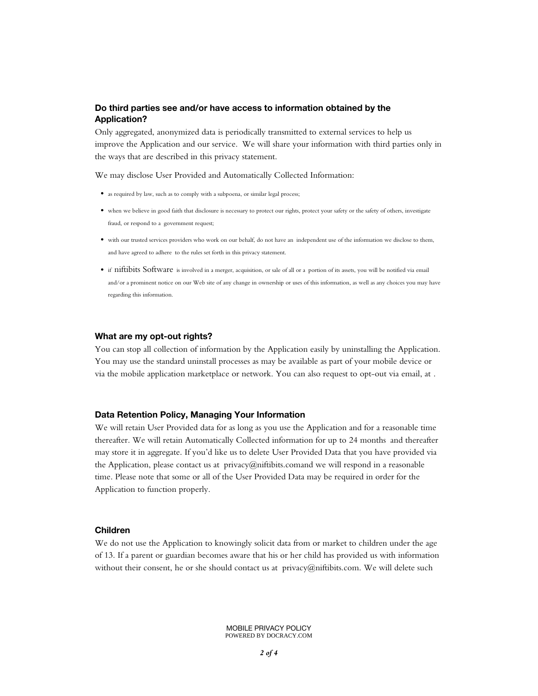## **Do third parties see and/or have access to information obtained by the Application?**

Only aggregated, anonymized data is periodically transmitted to external services to help us improve the Application and our service. We will share your information with third parties only in the ways that are described in this privacy statement.

We may disclose User Provided and Automatically Collected Information:

- as required by law, such as to comply with a subpoena, or similar legal process;
- when we believe in good faith that disclosure is necessary to protect our rights, protect your safety or the safety of others, investigate fraud, or respond to a government request;
- with our trusted services providers who work on our behalf, do not have an independent use of the information we disclose to them, and have agreed to adhere to the rules set forth in this privacy statement.
- if niftibits Software is involved in a merger, acquisition, or sale of all or a portion of its assets, you will be notified via email and/or a prominent notice on our Web site of any change in ownership or uses of this information, as well as any choices you may have regarding this information.

#### **What are my opt-out rights?**

You can stop all collection of information by the Application easily by uninstalling the Application. You may use the standard uninstall processes as may be available as part of your mobile device or via the mobile application marketplace or network. You can also request to opt-out via email, at .

#### **Data Retention Policy, Managing Your Information**

We will retain User Provided data for as long as you use the Application and for a reasonable time thereafter. We will retain Automatically Collected information for up to 24 months and thereafter may store it in aggregate. If you'd like us to delete User Provided Data that you have provided via the Application, please contact us at privacy@niftibits.comand we will respond in a reasonable time. Please note that some or all of the User Provided Data may be required in order for the Application to function properly.

#### **Children**

We do not use the Application to knowingly solicit data from or market to children under the age of 13. If a parent or guardian becomes aware that his or her child has provided us with information without their consent, he or she should contact us at privacy@niftibits.com. We will delete such